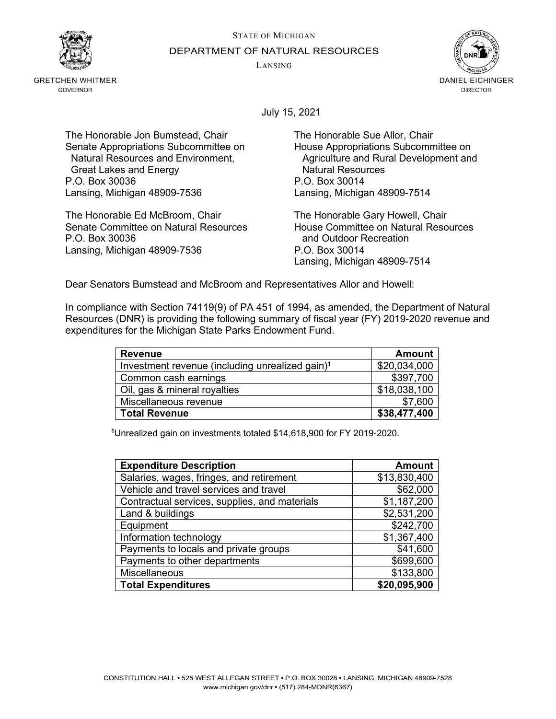STATE OF MICHIGAN



GRETCHEN WHITMER GOVERNOR

DEPARTMENT OF NATURAL RESOURCES

LANSING



July 15, 2021

The Honorable Jon Bumstead, Chair The Honorable Sue Allor, Chair Senate Appropriations Subcommittee on Fouse Appropriations Subcommittee on<br>Natural Resources and Environment, Four Agriculture and Rural Development and Great Lakes and Energy **Natural Resources Creat Lakes and Energy**<br>C. Box 30036 **P.O. Box 30014** P.O. Box 30036 Lansing, Michigan 48909-7536 Lansing, Michigan 48909-7514

The Honorable Ed McBroom, Chair **The Honorable Gary Howell, Chair**<br>Senate Committee on Natural Resources **The House Committee on Natural Resources** Senate Committee on Natural Resources<br>P.O. Box 30036 Lansing, Michigan 48909-7536 P.O. Box 30014

Agriculture and Rural Development and Natural Resources

and Outdoor Recreation Lansing, Michigan 48909-7514

Dear Senators Bumstead and McBroom and Representatives Allor and Howell:

In compliance with Section 74119(9) of PA 451 of 1994, as amended, the Department of Natural Resources (DNR) is providing the following summary of fiscal year (FY) 2019-2020 revenue and expenditures for the Michigan State Parks Endowment Fund.

| <b>Revenue</b>                                              | <b>Amount</b> |
|-------------------------------------------------------------|---------------|
| Investment revenue (including unrealized gain) <sup>1</sup> | \$20,034,000  |
| Common cash earnings                                        | \$397,700     |
| Oil, gas & mineral royalties                                | \$18,038,100  |
| Miscellaneous revenue                                       | \$7,600       |
| <b>Total Revenue</b>                                        | \$38,477,400  |

**<sup>1</sup>**Unrealized gain on investments totaled \$14,618,900 for FY 2019-2020.

| <b>Expenditure Description</b>                | <b>Amount</b> |
|-----------------------------------------------|---------------|
| Salaries, wages, fringes, and retirement      | \$13,830,400  |
| Vehicle and travel services and travel        | \$62,000      |
| Contractual services, supplies, and materials | \$1,187,200   |
| Land & buildings                              | \$2,531,200   |
| Equipment                                     | \$242,700     |
| Information technology                        | \$1,367,400   |
| Payments to locals and private groups         | \$41,600      |
| Payments to other departments                 | \$699,600     |
| Miscellaneous                                 | \$133,800     |
| <b>Total Expenditures</b>                     | \$20,095,900  |